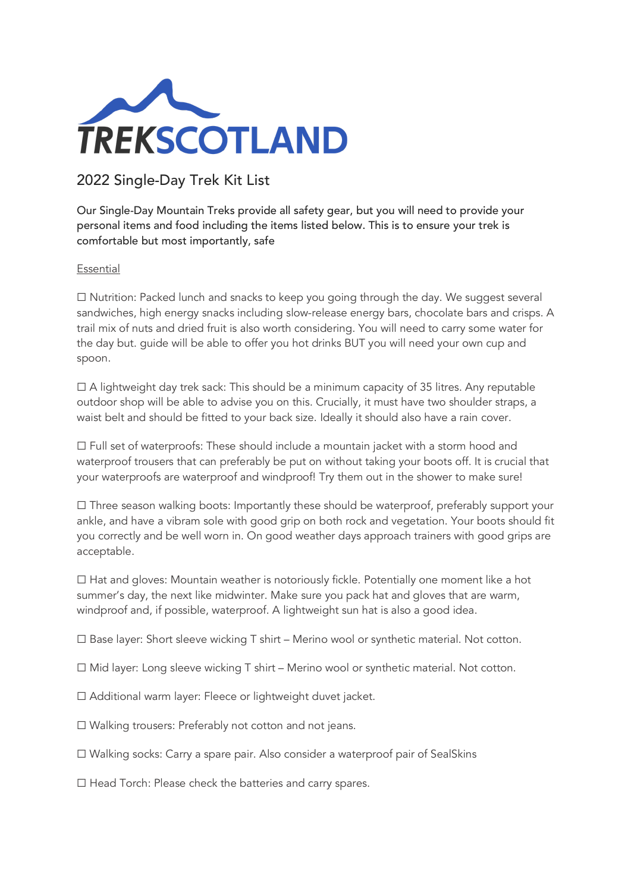

## 2022 Single-Day Trek Kit List

Our Single-Day Mountain Treks provide all safety gear, but you will need to provide your personal items and food including the items listed below. This is to ensure your trek is comfortable but most importantly, safe

## Essential

☐ Nutrition: Packed lunch and snacks to keep you going through the day. We suggest several sandwiches, high energy snacks including slow-release energy bars, chocolate bars and crisps. A trail mix of nuts and dried fruit is also worth considering. You will need to carry some water for the day but. guide will be able to offer you hot drinks BUT you will need your own cup and spoon.

 $\Box$  A lightweight day trek sack: This should be a minimum capacity of 35 litres. Any reputable outdoor shop will be able to advise you on this. Crucially, it must have two shoulder straps, a waist belt and should be fitted to your back size. Ideally it should also have a rain cover.

☐ Full set of waterproofs: These should include a mountain jacket with a storm hood and waterproof trousers that can preferably be put on without taking your boots off. It is crucial that your waterproofs are waterproof and windproof! Try them out in the shower to make sure!

☐ Three season walking boots: Importantly these should be waterproof, preferably support your ankle, and have a vibram sole with good grip on both rock and vegetation. Your boots should fit you correctly and be well worn in. On good weather days approach trainers with good grips are acceptable.

 $\Box$  Hat and gloves: Mountain weather is notoriously fickle. Potentially one moment like a hot summer's day, the next like midwinter. Make sure you pack hat and gloves that are warm, windproof and, if possible, waterproof. A lightweight sun hat is also a good idea.

 $\Box$  Base layer: Short sleeve wicking T shirt – Merino wool or synthetic material. Not cotton.

☐ Mid layer: Long sleeve wicking T shirt – Merino wool or synthetic material. Not cotton.

☐ Additional warm layer: Fleece or lightweight duvet jacket.

☐ Walking trousers: Preferably not cotton and not jeans.

☐ Walking socks: Carry a spare pair. Also consider a waterproof pair of SealSkins

☐ Head Torch: Please check the batteries and carry spares.